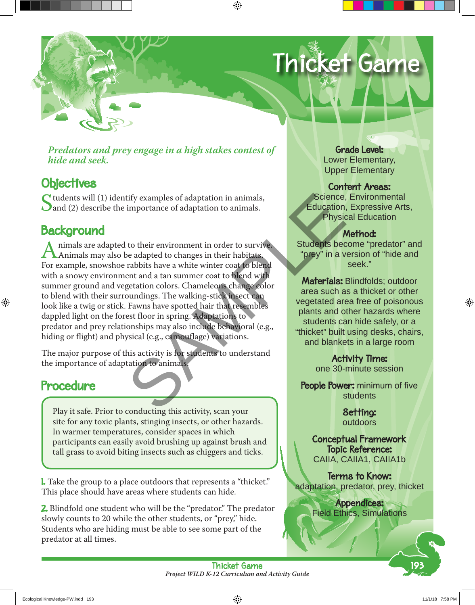# Thicket Game

*Predators and prey engage in a high stakes contest of hide and seek.*

# **Objectives**

Students will (1) identify examples of adaptation in animals,<br>and (2) describe the importance of adaptation to animals.

# **Background**

Animals are adapted to their environment in order to survive.<br>Animals may also be adapted to changes in their habitats.<br>For example, snowshoe rabbits have a white winter coat to blend. For example, snowshoe rabbits have a white winter coat to blend with a snowy environment and a tan summer coat to blend with summer ground and vegetation colors. Chameleons change color to blend with their surroundings. The walking-stick insect can look like a twig or stick. Fawns have spotted hair that resembles dappled light on the forest floor in spring. Adaptations to predator and prey relationships may also include behavioral (e.g., hiding or flight) and physical (e.g., camouflage) variations. tify examples of adaptation in animals,<br>
importance of adaptation to animals.<br>
Science<br>
Education<br>
Physi<br>
to their environment in order to survive.<br>
Students be<br>
be adapted to changes in their habitats.<br>
"Drey" in a v<br>
stu

The major purpose of this activity is for students to understand the importance of adaptation to animals.

## Procedure

Play it safe. Prior to conducting this activity, scan your site for any toxic plants, stinging insects, or other hazards. In warmer temperatures, consider spaces in which participants can easily avoid brushing up against brush and tall grass to avoid biting insects such as chiggers and ticks.

**I.** Take the group to a place outdoors that represents a "thicket." This place should have areas where students can hide.

2. Blindfold one student who will be the "predator." The predator slowly counts to 20 while the other students, or "prey," hide. Students who are hiding must be able to see some part of the predator at all times.

Grade Level: Lower Elementary, Upper Elementary

#### Content Areas:

Science, Environmental Education, Expressive Arts, Physical Education

### Method:

Students become "predator" and "prey" in a version of "hide and seek."

Materials: Blindfolds: outdoor area such as a thicket or other vegetated area free of poisonous plants and other hazards where students can hide safely, or a "thicket" built using desks, chairs, and blankets in a large room

> Activity Time: one 30-minute session

People Power: minimum of five students

> Setting: outdoors

Conceptual Framework Topic Reference: CAIIA, CAIIA1, CAIIA1b

Terms to Know: adaptation, predator, prey, thicket

> Appendices: Field Ethics, Simulations